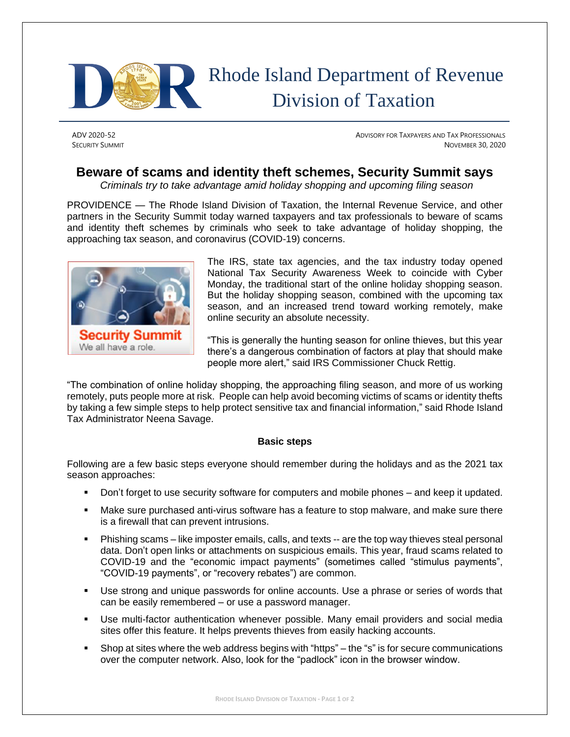

## Rhode Island Department of Revenue Division of Taxation

ADV 2020-52 ADVISORY FOR TAXPAYERS AND TAX PROFESSIONALS SECURITY SUMMIT NOVEMBER 30, 2020

## **Beware of scams and identity theft schemes, Security Summit says**

*Criminals try to take advantage amid holiday shopping and upcoming filing season*

PROVIDENCE — The Rhode Island Division of Taxation, the Internal Revenue Service, and other partners in the Security Summit today warned taxpayers and tax professionals to beware of scams and identity theft schemes by criminals who seek to take advantage of holiday shopping, the approaching tax season, and coronavirus (COVID-19) concerns.



The IRS, state tax agencies, and the tax industry today opened National Tax Security Awareness Week to coincide with Cyber Monday, the traditional start of the online holiday shopping season. But the holiday shopping season, combined with the upcoming tax season, and an increased trend toward working remotely, make online security an absolute necessity.

"This is generally the hunting season for online thieves, but this year there's a dangerous combination of factors at play that should make people more alert," said IRS Commissioner Chuck Rettig.

"The combination of online holiday shopping, the approaching filing season, and more of us working remotely, puts people more at risk. People can help avoid becoming victims of scams or identity thefts by taking a few simple steps to help protect sensitive tax and financial information," said Rhode Island Tax Administrator Neena Savage.

## **Basic steps**

Following are a few basic steps everyone should remember during the holidays and as the 2021 tax season approaches:

- **•** Don't forget to use security software for computers and mobile phones and keep it updated.
- Make sure purchased anti-virus software has a feature to stop malware, and make sure there is a firewall that can prevent intrusions.
- **•** Phishing scams like imposter emails, calls, and texts -- are the top way thieves steal personal data. Don't open links or attachments on suspicious emails. This year, fraud scams related to COVID-19 and the "economic impact payments" (sometimes called "stimulus payments", "COVID-19 payments", or "recovery rebates") are common.
- Use strong and unique passwords for online accounts. Use a phrase or series of words that can be easily remembered – or use a password manager.
- Use multi-factor authentication whenever possible. Many email providers and social media sites offer this feature. It helps prevents thieves from easily hacking accounts.
- Shop at sites where the web address begins with "https" the "s" is for secure communications over the computer network. Also, look for the "padlock" icon in the browser window.